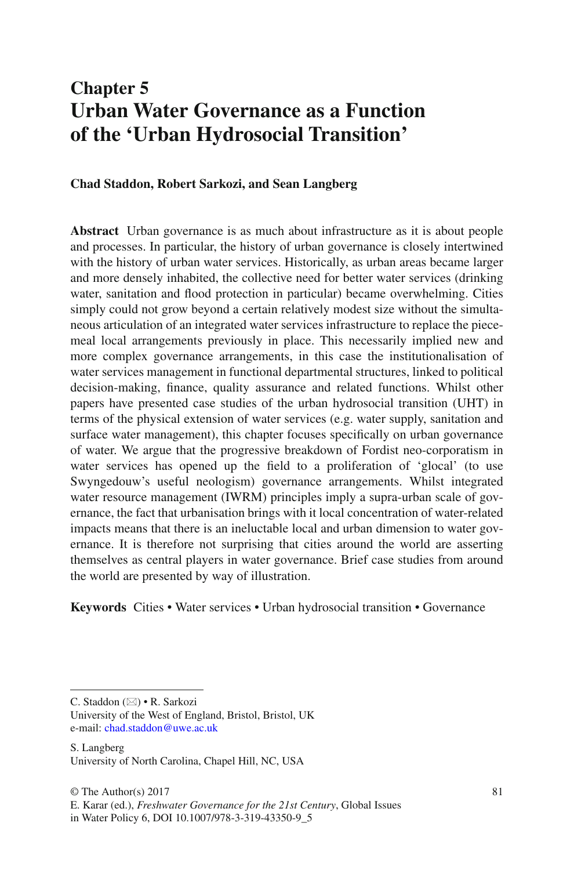# **Chapter 5 Urban Water Governance as a Function of the 'Urban Hydrosocial Transition'**

#### **Chad Staddon , Robert Sarkozi , and Sean Langberg**

 **Abstract** Urban governance is as much about infrastructure as it is about people and processes. In particular, the history of urban governance is closely intertwined with the history of urban water services. Historically, as urban areas became larger and more densely inhabited, the collective need for better water services (drinking water, sanitation and flood protection in particular) became overwhelming. Cities simply could not grow beyond a certain relatively modest size without the simultaneous articulation of an integrated water services infrastructure to replace the piecemeal local arrangements previously in place. This necessarily implied new and more complex governance arrangements, in this case the institutionalisation of water services management in functional departmental structures, linked to political decision-making, finance, quality assurance and related functions. Whilst other papers have presented case studies of the urban hydrosocial transition (UHT) in terms of the physical extension of water services (e.g. water supply, sanitation and surface water management), this chapter focuses specifically on urban governance of water. We argue that the progressive breakdown of Fordist neo-corporatism in water services has opened up the field to a proliferation of 'glocal' (to use Swyngedouw's useful neologism) governance arrangements. Whilst integrated water resource management (IWRM) principles imply a supra-urban scale of governance, the fact that urbanisation brings with it local concentration of water-related impacts means that there is an ineluctable local and urban dimension to water governance. It is therefore not surprising that cities around the world are asserting themselves as central players in water governance. Brief case studies from around the world are presented by way of illustration.

 **Keywords** Cities • Water services • Urban hydrosocial transition • Governance

 S. Langberg University of North Carolina, Chapel Hill, NC, USA

C. Staddon ( $\boxtimes$ ) • R. Sarkozi

University of the West of England, Bristol, Bristol, UK e-mail: [chad.staddon@uwe.ac.uk](mailto:chad.staddon@uwe.ac.uk)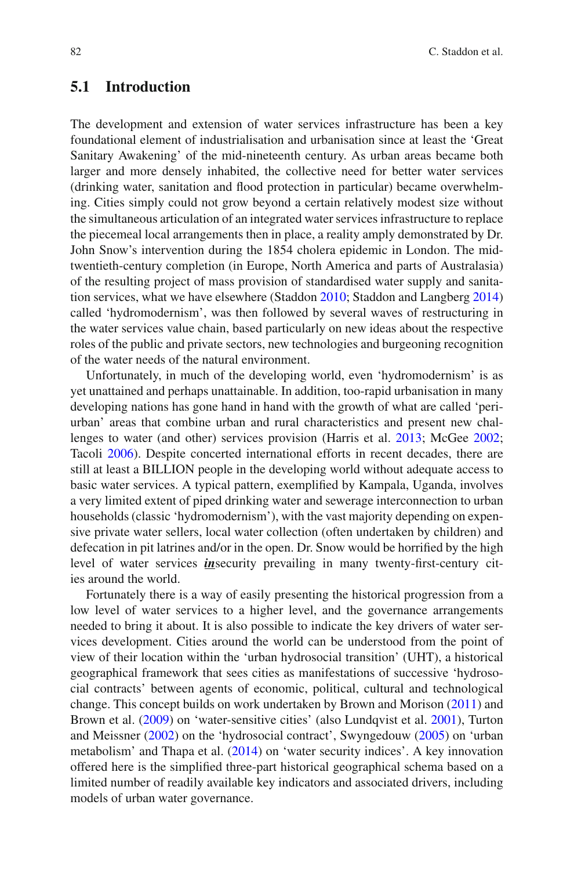# **5.1 Introduction**

 The development and extension of water services infrastructure has been a key foundational element of industrialisation and urbanisation since at least the 'Great Sanitary Awakening' of the mid-nineteenth century. As urban areas became both larger and more densely inhabited, the collective need for better water services (drinking water, sanitation and flood protection in particular) became overwhelming. Cities simply could not grow beyond a certain relatively modest size without the simultaneous articulation of an integrated water services infrastructure to replace the piecemeal local arrangements then in place, a reality amply demonstrated by Dr. John Snow's intervention during the 1854 cholera epidemic in London. The midtwentieth- century completion (in Europe, North America and parts of Australasia) of the resulting project of mass provision of standardised water supply and sanita-tion services, what we have elsewhere (Staddon [2010](#page-21-0); Staddon and Langberg [2014](#page-21-0)) called 'hydromodernism', was then followed by several waves of restructuring in the water services value chain, based particularly on new ideas about the respective roles of the public and private sectors, new technologies and burgeoning recognition of the water needs of the natural environment.

 Unfortunately, in much of the developing world, even 'hydromodernism' is as yet unattained and perhaps unattainable. In addition, too-rapid urbanisation in many developing nations has gone hand in hand with the growth of what are called 'periurban' areas that combine urban and rural characteristics and present new chal-lenges to water (and other) services provision (Harris et al. [2013](#page-19-0); McGee 2002; Tacoli [2006](#page-21-0) ). Despite concerted international efforts in recent decades, there are still at least a BILLION people in the developing world without adequate access to basic water services. A typical pattern, exemplified by Kampala, Uganda, involves a very limited extent of piped drinking water and sewerage interconnection to urban households (classic 'hydromodernism'), with the vast majority depending on expensive private water sellers, local water collection (often undertaken by children) and defecation in pit latrines and/or in the open. Dr. Snow would be horrified by the high level of water services *insecurity* prevailing in many twenty-first-century cities around the world.

 Fortunately there is a way of easily presenting the historical progression from a low level of water services to a higher level, and the governance arrangements needed to bring it about. It is also possible to indicate the key drivers of water services development. Cities around the world can be understood from the point of view of their location within the 'urban hydrosocial transition' (UHT), a historical geographical framework that sees cities as manifestations of successive 'hydrosocial contracts' between agents of economic, political, cultural and technological change. This concept builds on work undertaken by Brown and Morison (2011) and Brown et al. (2009) on 'water-sensitive cities' (also Lundqvist et al. [2001](#page-20-0)), Turton and Meissner (2002) on the 'hydrosocial contract', Swyngedouw (2005) on 'urban metabolism' and Thapa et al. (2014) on 'water security indices'. A key innovation offered here is the simplified three-part historical geographical schema based on a limited number of readily available key indicators and associated drivers, including models of urban water governance.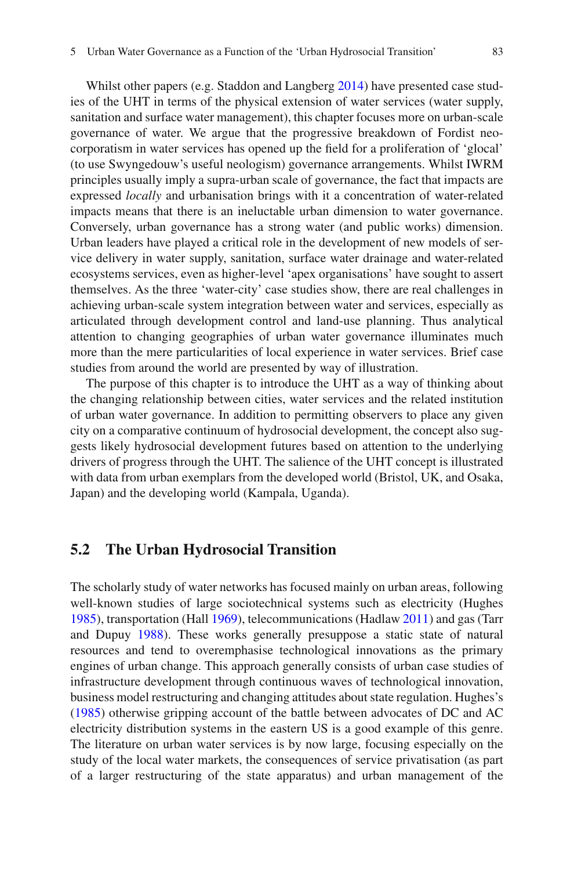Whilst other papers (e.g. Staddon and Langberg 2014) have presented case studies of the UHT in terms of the physical extension of water services (water supply, sanitation and surface water management), this chapter focuses more on urban-scale governance of water. We argue that the progressive breakdown of Fordist neocorporatism in water services has opened up the field for a proliferation of 'glocal' (to use Swyngedouw's useful neologism) governance arrangements. Whilst IWRM principles usually imply a supra-urban scale of governance, the fact that impacts are expressed *locally* and urbanisation brings with it a concentration of water-related impacts means that there is an ineluctable urban dimension to water governance. Conversely, urban governance has a strong water (and public works) dimension. Urban leaders have played a critical role in the development of new models of service delivery in water supply, sanitation, surface water drainage and water-related ecosystems services, even as higher-level 'apex organisations' have sought to assert themselves. As the three 'water-city' case studies show, there are real challenges in achieving urban-scale system integration between water and services, especially as articulated through development control and land-use planning. Thus analytical attention to changing geographies of urban water governance illuminates much more than the mere particularities of local experience in water services. Brief case studies from around the world are presented by way of illustration.

 The purpose of this chapter is to introduce the UHT as a way of thinking about the changing relationship between cities, water services and the related institution of urban water governance. In addition to permitting observers to place any given city on a comparative continuum of hydrosocial development, the concept also suggests likely hydrosocial development futures based on attention to the underlying drivers of progress through the UHT. The salience of the UHT concept is illustrated with data from urban exemplars from the developed world (Bristol, UK, and Osaka, Japan) and the developing world (Kampala, Uganda).

### **5.2 The Urban Hydrosocial Transition**

 The scholarly study of water networks has focused mainly on urban areas, following well-known studies of large sociotechnical systems such as electricity (Hughes 1985), transportation (Hall 1969), telecommunications (Hadlaw 2011) and gas (Tarr and Dupuy [1988](#page-21-0)). These works generally presuppose a static state of natural resources and tend to overemphasise technological innovations as the primary engines of urban change. This approach generally consists of urban case studies of infrastructure development through continuous waves of technological innovation, business model restructuring and changing attitudes about state regulation. Hughes's [\( 1985](#page-20-0) ) otherwise gripping account of the battle between advocates of DC and AC electricity distribution systems in the eastern US is a good example of this genre. The literature on urban water services is by now large, focusing especially on the study of the local water markets, the consequences of service privatisation (as part of a larger restructuring of the state apparatus) and urban management of the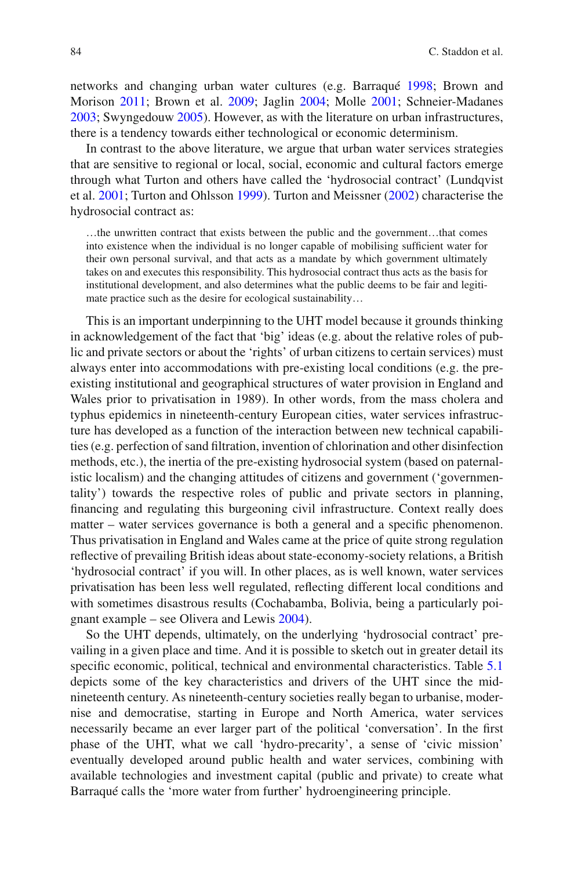networks and changing urban water cultures (e.g. Barraqué 1998; Brown and Morison 2011; Brown et al. 2009; Jaglin 2004; Molle [2001](#page-20-0); Schneier-Madanes 2003; Swyngedouw 2005). However, as with the literature on urban infrastructures, there is a tendency towards either technological or economic determinism.

 In contrast to the above literature, we argue that urban water services strategies that are sensitive to regional or local, social, economic and cultural factors emerge through what Turton and others have called the 'hydrosocial contract' (Lundqvist et al. [2001](#page-20-0); Turton and Ohlsson [1999](#page-21-0)). Turton and Meissner (2002) characterise the hydrosocial contract as:

 …the unwritten contract that exists between the public and the government…that comes into existence when the individual is no longer capable of mobilising sufficient water for their own personal survival, and that acts as a mandate by which government ultimately takes on and executes this responsibility. This hydrosocial contract thus acts as the basis for institutional development, and also determines what the public deems to be fair and legitimate practice such as the desire for ecological sustainability…

 This is an important underpinning to the UHT model because it grounds thinking in acknowledgement of the fact that 'big' ideas (e.g. about the relative roles of public and private sectors or about the 'rights' of urban citizens to certain services) must always enter into accommodations with pre-existing local conditions (e.g. the preexisting institutional and geographical structures of water provision in England and Wales prior to privatisation in 1989). In other words, from the mass cholera and typhus epidemics in nineteenth-century European cities, water services infrastructure has developed as a function of the interaction between new technical capabilities (e.g. perfection of sand filtration, invention of chlorination and other disinfection methods, etc.), the inertia of the pre-existing hydrosocial system (based on paternalistic localism) and the changing attitudes of citizens and government ('governmentality') towards the respective roles of public and private sectors in planning, financing and regulating this burgeoning civil infrastructure. Context really does matter – water services governance is both a general and a specific phenomenon. Thus privatisation in England and Wales came at the price of quite strong regulation reflective of prevailing British ideas about state-economy-society relations, a British 'hydrosocial contract' if you will. In other places, as is well known, water services privatisation has been less well regulated, reflecting different local conditions and with sometimes disastrous results (Cochabamba, Bolivia, being a particularly poignant example – see Olivera and Lewis [2004](#page-20-0) ).

 So the UHT depends, ultimately, on the underlying 'hydrosocial contract' prevailing in a given place and time. And it is possible to sketch out in greater detail its specific economic, political, technical and environmental characteristics. Table [5.1](#page-4-0) depicts some of the key characteristics and drivers of the UHT since the midnineteenth century. As nineteenth-century societies really began to urbanise, modernise and democratise, starting in Europe and North America, water services necessarily became an ever larger part of the political 'conversation'. In the first phase of the UHT, what we call 'hydro-precarity', a sense of 'civic mission' eventually developed around public health and water services, combining with available technologies and investment capital (public and private) to create what Barraqué calls the 'more water from further' hydroengineering principle.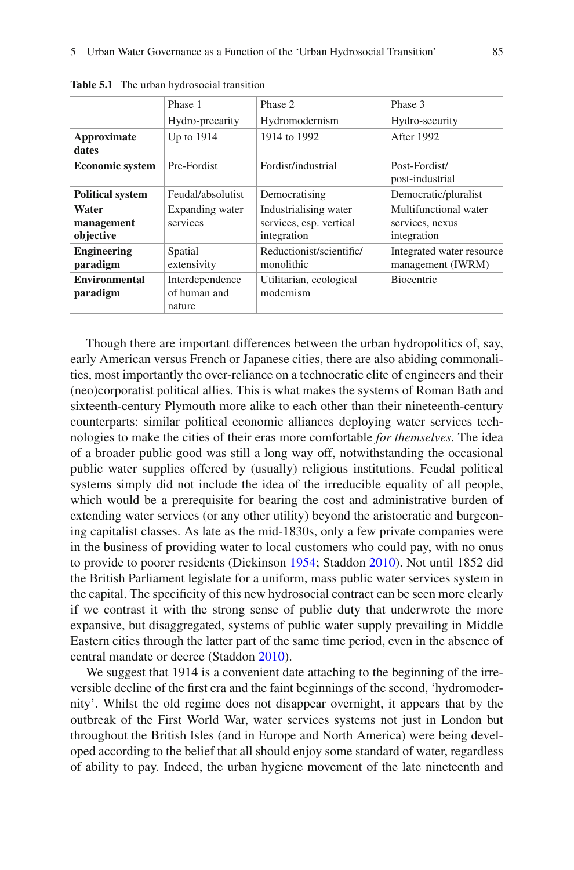|                                  | Phase 1                                   | Phase 2                                                         | Phase 3                                                 |  |
|----------------------------------|-------------------------------------------|-----------------------------------------------------------------|---------------------------------------------------------|--|
|                                  | Hydro-precarity                           | Hydromodernism                                                  | Hydro-security                                          |  |
| Approximate<br>dates             | Up to $1914$                              | 1914 to 1992                                                    | After 1992                                              |  |
| <b>Economic system</b>           | Pre-Fordist                               | Fordist/industrial                                              | Post-Fordist/<br>post-industrial                        |  |
| <b>Political system</b>          | Feudal/absolutist                         | Democratising                                                   | Democratic/pluralist                                    |  |
| Water<br>management<br>objective | Expanding water<br>services               | Industrialising water<br>services, esp. vertical<br>integration | Multifunctional water<br>services, nexus<br>integration |  |
| <b>Engineering</b><br>paradigm   | Spatial<br>extensivity                    | Reductionist/scientific/<br>monolithic                          | Integrated water resource<br>management (IWRM)          |  |
| <b>Environmental</b><br>paradigm | Interdependence<br>of human and<br>nature | Utilitarian, ecological<br>modernism                            | <b>Biocentric</b>                                       |  |

<span id="page-4-0"></span> **Table 5.1** The urban hydrosocial transition

 Though there are important differences between the urban hydropolitics of, say, early American versus French or Japanese cities, there are also abiding commonalities, most importantly the over-reliance on a technocratic elite of engineers and their (neo)corporatist political allies. This is what makes the systems of Roman Bath and sixteenth-century Plymouth more alike to each other than their nineteenth-century counterparts: similar political economic alliances deploying water services technologies to make the cities of their eras more comfortable *for themselves* . The idea of a broader public good was still a long way off, notwithstanding the occasional public water supplies offered by (usually) religious institutions. Feudal political systems simply did not include the idea of the irreducible equality of all people, which would be a prerequisite for bearing the cost and administrative burden of extending water services (or any other utility) beyond the aristocratic and burgeoning capitalist classes. As late as the mid-1830s, only a few private companies were in the business of providing water to local customers who could pay, with no onus to provide to poorer residents (Dickinson 1954; Staddon 2010). Not until 1852 did the British Parliament legislate for a uniform, mass public water services system in the capital. The specificity of this new hydrosocial contract can be seen more clearly if we contrast it with the strong sense of public duty that underwrote the more expansive, but disaggregated, systems of public water supply prevailing in Middle Eastern cities through the latter part of the same time period, even in the absence of central mandate or decree (Staddon 2010).

 We suggest that 1914 is a convenient date attaching to the beginning of the irreversible decline of the first era and the faint beginnings of the second, 'hydromodernity'. Whilst the old regime does not disappear overnight, it appears that by the outbreak of the First World War, water services systems not just in London but throughout the British Isles (and in Europe and North America) were being developed according to the belief that all should enjoy some standard of water, regardless of ability to pay. Indeed, the urban hygiene movement of the late nineteenth and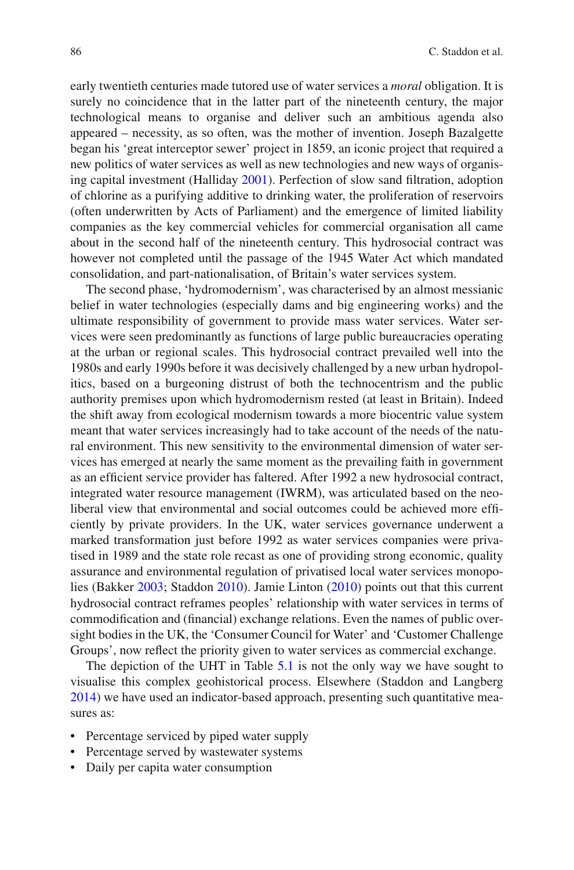early twentieth centuries made tutored use of water services a *moral* obligation. It is surely no coincidence that in the latter part of the nineteenth century, the major technological means to organise and deliver such an ambitious agenda also appeared – necessity, as so often, was the mother of invention. Joseph Bazalgette began his 'great interceptor sewer' project in 1859, an iconic project that required a new politics of water services as well as new technologies and new ways of organising capital investment (Halliday  $2001$ ). Perfection of slow sand filtration, adoption of chlorine as a purifying additive to drinking water, the proliferation of reservoirs (often underwritten by Acts of Parliament) and the emergence of limited liability companies as the key commercial vehicles for commercial organisation all came about in the second half of the nineteenth century. This hydrosocial contract was however not completed until the passage of the 1945 Water Act which mandated consolidation, and part-nationalisation, of Britain's water services system.

 The second phase, 'hydromodernism', was characterised by an almost messianic belief in water technologies (especially dams and big engineering works) and the ultimate responsibility of government to provide mass water services. Water services were seen predominantly as functions of large public bureaucracies operating at the urban or regional scales. This hydrosocial contract prevailed well into the 1980s and early 1990s before it was decisively challenged by a new urban hydropolitics, based on a burgeoning distrust of both the technocentrism and the public authority premises upon which hydromodernism rested (at least in Britain). Indeed the shift away from ecological modernism towards a more biocentric value system meant that water services increasingly had to take account of the needs of the natural environment. This new sensitivity to the environmental dimension of water services has emerged at nearly the same moment as the prevailing faith in government as an efficient service provider has faltered. After 1992 a new hydrosocial contract, integrated water resource management (IWRM), was articulated based on the neoliberal view that environmental and social outcomes could be achieved more efficiently by private providers. In the UK, water services governance underwent a marked transformation just before 1992 as water services companies were privatised in 1989 and the state role recast as one of providing strong economic, quality assurance and environmental regulation of privatised local water services monopo-lies (Bakker [2003](#page-19-0); Staddon [2010](#page-21-0)). Jamie Linton (2010) points out that this current hydrosocial contract reframes peoples' relationship with water services in terms of commodification and (financial) exchange relations. Even the names of public oversight bodies in the UK, the 'Consumer Council for Water' and 'Customer Challenge Groups', now reflect the priority given to water services as commercial exchange.

 The depiction of the UHT in Table [5.1](#page-4-0) is not the only way we have sought to visualise this complex geohistorical process. Elsewhere (Staddon and Langberg 2014) we have used an indicator-based approach, presenting such quantitative measures as:

- Percentage serviced by piped water supply
- Percentage served by wastewater systems
- Daily per capita water consumption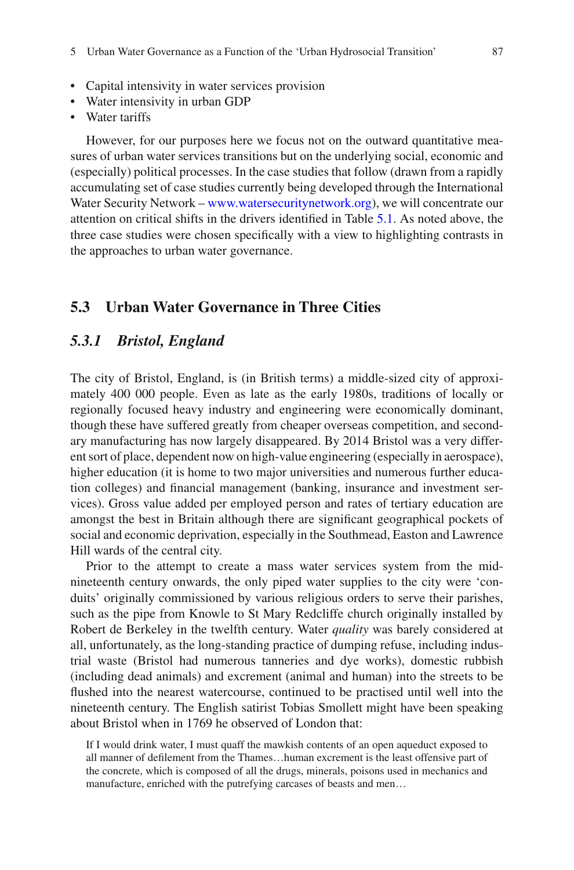- Capital intensivity in water services provision
- Water intensivity in urban GDP
- Water tariffs

 However, for our purposes here we focus not on the outward quantitative measures of urban water services transitions but on the underlying social, economic and (especially) political processes. In the case studies that follow (drawn from a rapidly accumulating set of case studies currently being developed through the International Water Security Network – [www.watersecuritynetwork.org\)](http://www.watersecuritynetwork.org/), we will concentrate our attention on critical shifts in the drivers identified in Table  $5.1$ . As noted above, the three case studies were chosen specifically with a view to highlighting contrasts in the approaches to urban water governance.

#### **5.3 Urban Water Governance in Three Cities**

### *5.3.1 Bristol, England*

 The city of Bristol, England, is (in British terms) a middle-sized city of approximately 400 000 people. Even as late as the early 1980s, traditions of locally or regionally focused heavy industry and engineering were economically dominant, though these have suffered greatly from cheaper overseas competition, and secondary manufacturing has now largely disappeared. By 2014 Bristol was a very different sort of place, dependent now on high-value engineering (especially in aerospace), higher education (it is home to two major universities and numerous further education colleges) and financial management (banking, insurance and investment services). Gross value added per employed person and rates of tertiary education are amongst the best in Britain although there are significant geographical pockets of social and economic deprivation, especially in the Southmead, Easton and Lawrence Hill wards of the central city.

 Prior to the attempt to create a mass water services system from the midnineteenth century onwards, the only piped water supplies to the city were 'conduits' originally commissioned by various religious orders to serve their parishes, such as the pipe from Knowle to St Mary Redcliffe church originally installed by Robert de Berkeley in the twelfth century. Water *quality* was barely considered at all, unfortunately, as the long-standing practice of dumping refuse, including industrial waste (Bristol had numerous tanneries and dye works), domestic rubbish (including dead animals) and excrement (animal and human) into the streets to be flushed into the nearest watercourse, continued to be practised until well into the nineteenth century. The English satirist Tobias Smollett might have been speaking about Bristol when in 1769 he observed of London that:

 If I would drink water, I must quaff the mawkish contents of an open aqueduct exposed to all manner of defilement from the Thames...human excrement is the least offensive part of the concrete, which is composed of all the drugs, minerals, poisons used in mechanics and manufacture, enriched with the putrefying carcases of beasts and men…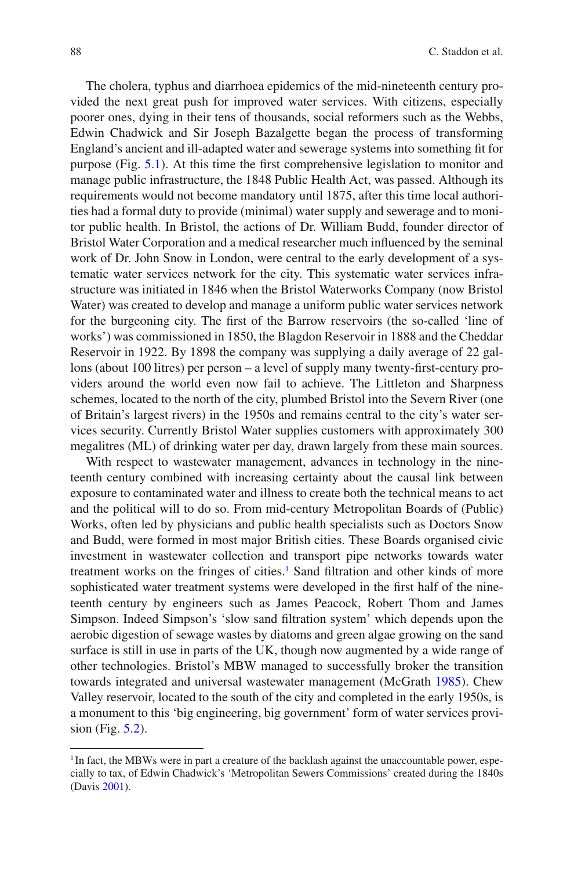The cholera, typhus and diarrhoea epidemics of the mid-nineteenth century provided the next great push for improved water services. With citizens, especially poorer ones, dying in their tens of thousands, social reformers such as the Webbs, Edwin Chadwick and Sir Joseph Bazalgette began the process of transforming England's ancient and ill-adapted water and sewerage systems into something fi t for purpose (Fig.  $5.1$ ). At this time the first comprehensive legislation to monitor and manage public infrastructure, the 1848 Public Health Act, was passed. Although its requirements would not become mandatory until 1875, after this time local authorities had a formal duty to provide (minimal) water supply and sewerage and to monitor public health. In Bristol, the actions of Dr. William Budd, founder director of Bristol Water Corporation and a medical researcher much influenced by the seminal work of Dr. John Snow in London, were central to the early development of a systematic water services network for the city. This systematic water services infrastructure was initiated in 1846 when the Bristol Waterworks Company (now Bristol Water) was created to develop and manage a uniform public water services network for the burgeoning city. The first of the Barrow reservoirs (the so-called 'line of works') was commissioned in 1850, the Blagdon Reservoir in 1888 and the Cheddar Reservoir in 1922. By 1898 the company was supplying a daily average of 22 gallons (about 100 litres) per person  $-$  a level of supply many twenty-first-century providers around the world even now fail to achieve. The Littleton and Sharpness schemes, located to the north of the city, plumbed Bristol into the Severn River (one of Britain's largest rivers) in the 1950s and remains central to the city's water services security. Currently Bristol Water supplies customers with approximately 300 megalitres (ML) of drinking water per day, drawn largely from these main sources.

 With respect to wastewater management, advances in technology in the nineteenth century combined with increasing certainty about the causal link between exposure to contaminated water and illness to create both the technical means to act and the political will to do so. From mid-century Metropolitan Boards of (Public) Works, often led by physicians and public health specialists such as Doctors Snow and Budd, were formed in most major British cities. These Boards organised civic investment in wastewater collection and transport pipe networks towards water treatment works on the fringes of cities.<sup>1</sup> Sand filtration and other kinds of more sophisticated water treatment systems were developed in the first half of the nineteenth century by engineers such as James Peacock, Robert Thom and James Simpson. Indeed Simpson's 'slow sand filtration system' which depends upon the aerobic digestion of sewage wastes by diatoms and green algae growing on the sand surface is still in use in parts of the UK, though now augmented by a wide range of other technologies. Bristol's MBW managed to successfully broker the transition towards integrated and universal wastewater management (McGrath [1985](#page-20-0)). Chew Valley reservoir, located to the south of the city and completed in the early 1950s, is a monument to this 'big engineering, big government' form of water services provision (Fig.  $5.2$ ).

<sup>&</sup>lt;sup>1</sup> In fact, the MBWs were in part a creature of the backlash against the unaccountable power, especially to tax, of Edwin Chadwick's 'Metropolitan Sewers Commissions' created during the 1840s (Davis [2001](#page-19-0)).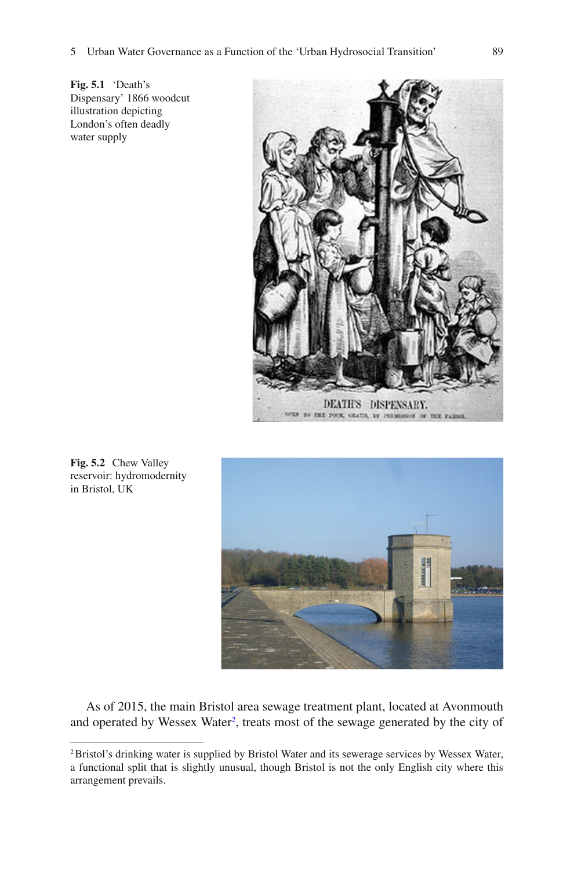<span id="page-8-0"></span> **Fig. 5.1** 'Death's Dispensary' 1866 woodcut illustration depicting London's often deadly water supply



 **Fig. 5.2** Chew Valley reservoir: hydromodernity in Bristol, UK



 As of 2015, the main Bristol area sewage treatment plant, located at Avonmouth and operated by Wessex Water<sup>2</sup>, treats most of the sewage generated by the city of

<sup>&</sup>lt;sup>2</sup> Bristol's drinking water is supplied by Bristol Water and its sewerage services by Wessex Water, a functional split that is slightly unusual, though Bristol is not the only English city where this arrangement prevails.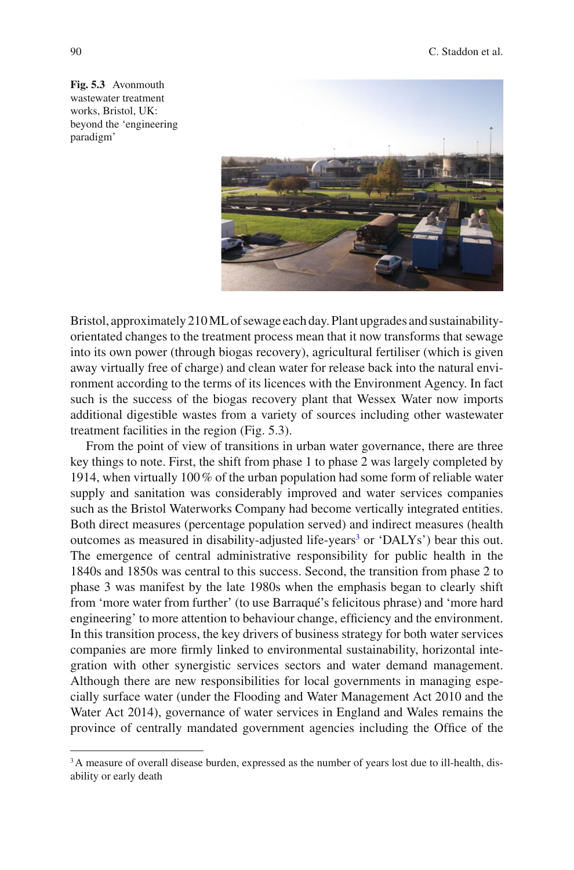**Fig. 5.3** Avonmouth wastewater treatment works, Bristol, UK: beyond the 'engineering paradigm'



Bristol, approximately 210 ML of sewage each day. Plant upgrades and sustainabilityorientated changes to the treatment process mean that it now transforms that sewage into its own power (through biogas recovery), agricultural fertiliser (which is given away virtually free of charge) and clean water for release back into the natural environment according to the terms of its licences with the Environment Agency. In fact such is the success of the biogas recovery plant that Wessex Water now imports additional digestible wastes from a variety of sources including other wastewater treatment facilities in the region (Fig. 5.3 ).

 From the point of view of transitions in urban water governance, there are three key things to note. First, the shift from phase 1 to phase 2 was largely completed by 1914, when virtually 100 % of the urban population had some form of reliable water supply and sanitation was considerably improved and water services companies such as the Bristol Waterworks Company had become vertically integrated entities. Both direct measures (percentage population served) and indirect measures (health outcomes as measured in disability-adjusted life-years<sup>3</sup> or 'DALYs') bear this out. The emergence of central administrative responsibility for public health in the 1840s and 1850s was central to this success. Second, the transition from phase 2 to phase 3 was manifest by the late 1980s when the emphasis began to clearly shift from 'more water from further' (to use Barraqué's felicitous phrase) and 'more hard engineering' to more attention to behaviour change, efficiency and the environment. In this transition process, the key drivers of business strategy for both water services companies are more firmly linked to environmental sustainability, horizontal integration with other synergistic services sectors and water demand management. Although there are new responsibilities for local governments in managing especially surface water (under the Flooding and Water Management Act 2010 and the Water Act 2014), governance of water services in England and Wales remains the province of centrally mandated government agencies including the Office of the

<sup>&</sup>lt;sup>3</sup>A measure of overall disease burden, expressed as the number of years lost due to ill-health, disability or early death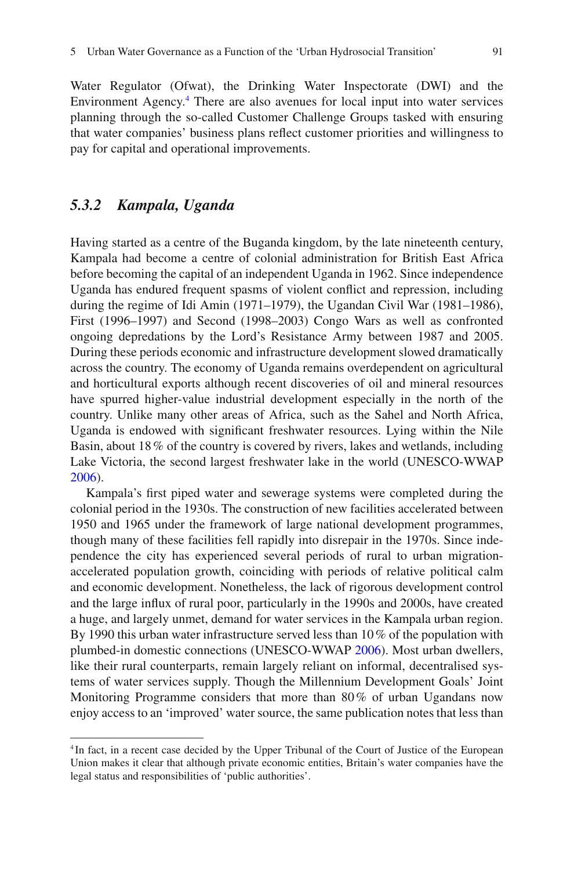Water Regulator (Ofwat), the Drinking Water Inspectorate (DWI) and the Environment Agency.<sup>4</sup> There are also avenues for local input into water services planning through the so-called Customer Challenge Groups tasked with ensuring that water companies' business plans reflect customer priorities and willingness to pay for capital and operational improvements.

## *5.3.2 Kampala, Uganda*

 Having started as a centre of the Buganda kingdom, by the late nineteenth century, Kampala had become a centre of colonial administration for British East Africa before becoming the capital of an independent Uganda in 1962. Since independence Uganda has endured frequent spasms of violent conflict and repression, including during the regime of Idi Amin (1971–1979), the Ugandan Civil War (1981–1986), First (1996–1997) and Second (1998–2003) Congo Wars as well as confronted ongoing depredations by the Lord's Resistance Army between 1987 and 2005. During these periods economic and infrastructure development slowed dramatically across the country. The economy of Uganda remains overdependent on agricultural and horticultural exports although recent discoveries of oil and mineral resources have spurred higher-value industrial development especially in the north of the country. Unlike many other areas of Africa, such as the Sahel and North Africa, Uganda is endowed with significant freshwater resources. Lying within the Nile Basin, about 18 % of the country is covered by rivers, lakes and wetlands, including Lake Victoria, the second largest freshwater lake in the world (UNESCO-WWAP 2006).

Kampala's first piped water and sewerage systems were completed during the colonial period in the 1930s. The construction of new facilities accelerated between 1950 and 1965 under the framework of large national development programmes, though many of these facilities fell rapidly into disrepair in the 1970s. Since independence the city has experienced several periods of rural to urban migrationaccelerated population growth, coinciding with periods of relative political calm and economic development. Nonetheless, the lack of rigorous development control and the large influx of rural poor, particularly in the 1990s and 2000s, have created a huge, and largely unmet, demand for water services in the Kampala urban region. By 1990 this urban water infrastructure served less than 10 % of the population with plumbed-in domestic connections (UNESCO-WWAP 2006). Most urban dwellers, like their rural counterparts, remain largely reliant on informal, decentralised systems of water services supply. Though the Millennium Development Goals' Joint Monitoring Programme considers that more than 80 % of urban Ugandans now enjoy access to an 'improved' water source, the same publication notes that less than

<sup>4</sup> In fact, in a recent case decided by the Upper Tribunal of the Court of Justice of the European Union makes it clear that although private economic entities, Britain's water companies have the legal status and responsibilities of 'public authorities'.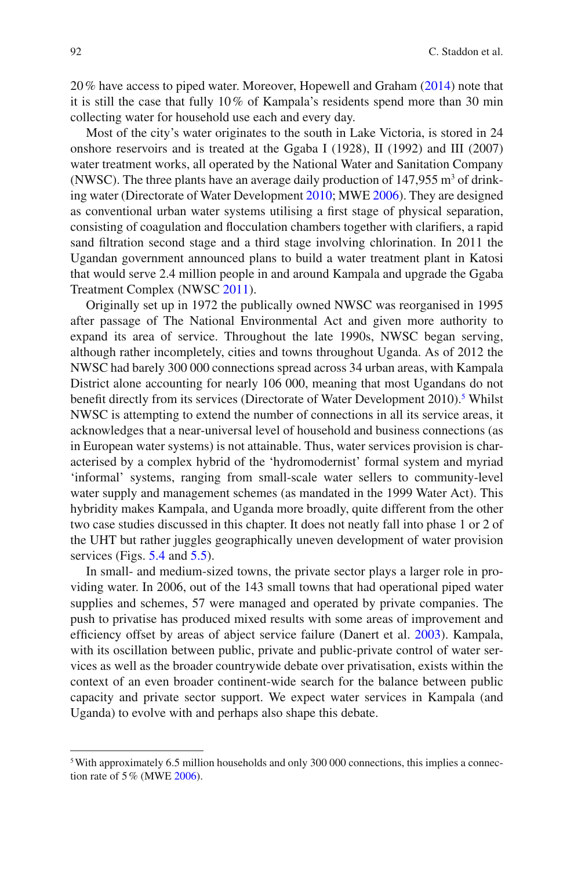$20\%$  have access to piped water. Moreover, Hopewell and Graham ( $2014$ ) note that it is still the case that fully 10 % of Kampala's residents spend more than 30 min collecting water for household use each and every day.

 Most of the city's water originates to the south in Lake Victoria, is stored in 24 onshore reservoirs and is treated at the Ggaba I (1928), II (1992) and III (2007) water treatment works, all operated by the National Water and Sanitation Company (NWSC). The three plants have an average daily production of  $147,955$  m<sup>3</sup> of drink-ing water (Directorate of Water Development [2010](#page-19-0); MWE 2006). They are designed as conventional urban water systems utilising a first stage of physical separation, consisting of coagulation and flocculation chambers together with clarifiers, a rapid sand filtration second stage and a third stage involving chlorination. In 2011 the Ugandan government announced plans to build a water treatment plant in Katosi that would serve 2.4 million people in and around Kampala and upgrade the Ggaba Treatment Complex (NWSC 2011).

 Originally set up in 1972 the publically owned NWSC was reorganised in 1995 after passage of The National Environmental Act and given more authority to expand its area of service. Throughout the late 1990s, NWSC began serving, although rather incompletely, cities and towns throughout Uganda. As of 2012 the NWSC had barely 300 000 connections spread across 34 urban areas, with Kampala District alone accounting for nearly 106 000, meaning that most Ugandans do not benefit directly from its services (Directorate of Water Development 2010).<sup>5</sup> Whilst NWSC is attempting to extend the number of connections in all its service areas, it acknowledges that a near-universal level of household and business connections (as in European water systems) is not attainable. Thus, water services provision is characterised by a complex hybrid of the 'hydromodernist' formal system and myriad 'informal' systems, ranging from small-scale water sellers to community-level water supply and management schemes (as mandated in the 1999 Water Act). This hybridity makes Kampala, and Uganda more broadly, quite different from the other two case studies discussed in this chapter. It does not neatly fall into phase 1 or 2 of the UHT but rather juggles geographically uneven development of water provision services (Figs.  $5.4$  and  $5.5$ ).

 In small- and medium-sized towns, the private sector plays a larger role in providing water. In 2006, out of the 143 small towns that had operational piped water supplies and schemes, 57 were managed and operated by private companies. The push to privatise has produced mixed results with some areas of improvement and efficiency offset by areas of abject service failure (Danert et al. 2003). Kampala, with its oscillation between public, private and public-private control of water services as well as the broader countrywide debate over privatisation, exists within the context of an even broader continent-wide search for the balance between public capacity and private sector support. We expect water services in Kampala (and Uganda) to evolve with and perhaps also shape this debate.

<sup>&</sup>lt;sup>5</sup> With approximately 6.5 million households and only 300 000 connections, this implies a connection rate of  $5\%$  (MWE 2006).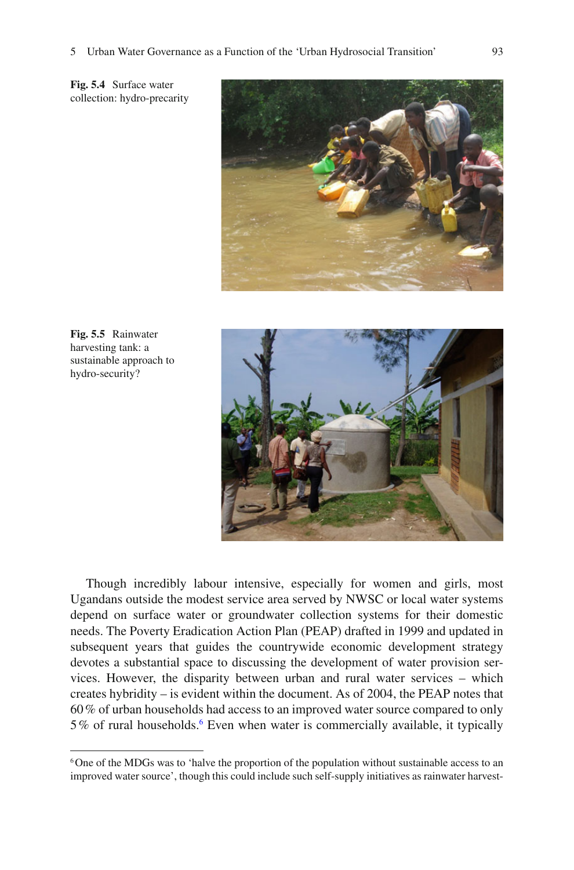<span id="page-12-0"></span> **Fig. 5.4** Surface water collection: hydro-precarity







 Though incredibly labour intensive, especially for women and girls, most Ugandans outside the modest service area served by NWSC or local water systems depend on surface water or groundwater collection systems for their domestic needs. The Poverty Eradication Action Plan (PEAP) drafted in 1999 and updated in subsequent years that guides the countrywide economic development strategy devotes a substantial space to discussing the development of water provision services. However, the disparity between urban and rural water services – which creates hybridity – is evident within the document. As of 2004, the PEAP notes that 60 % of urban households had access to an improved water source compared to only 5% of rural households.<sup>6</sup> Even when water is commercially available, it typically

<sup>&</sup>lt;sup>6</sup>One of the MDGs was to 'halve the proportion of the population without sustainable access to an improved water source', though this could include such self-supply initiatives as rainwater harvest-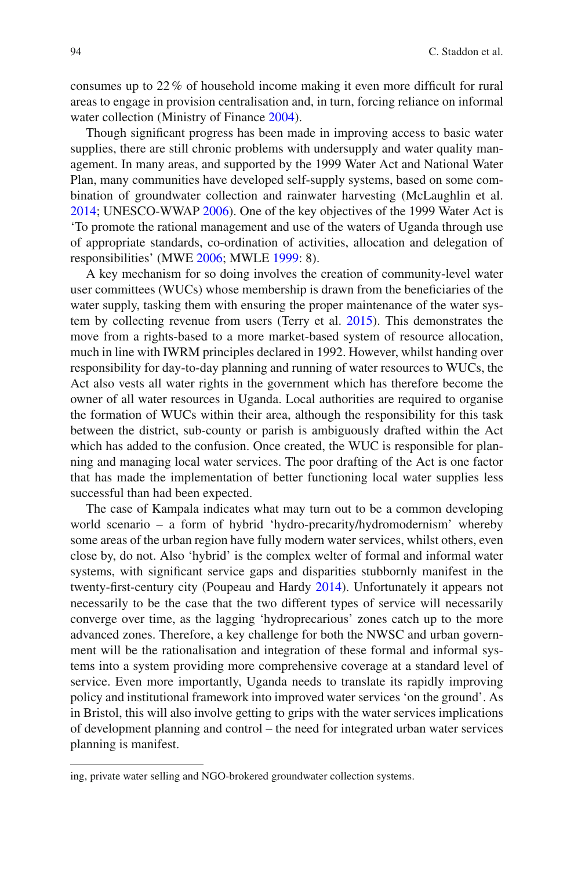consumes up to  $22\%$  of household income making it even more difficult for rural areas to engage in provision centralisation and, in turn, forcing reliance on informal water collection (Ministry of Finance 2004).

Though significant progress has been made in improving access to basic water supplies, there are still chronic problems with undersupply and water quality management. In many areas, and supported by the 1999 Water Act and National Water Plan, many communities have developed self-supply systems, based on some combination of groundwater collection and rainwater harvesting (McLaughlin et al. 2014; UNESCO-WWAP [2006](#page-21-0)). One of the key objectives of the 1999 Water Act is 'To promote the rational management and use of the waters of Uganda through use of appropriate standards, co-ordination of activities, allocation and delegation of responsibilities' (MWE 2006; MWLE 1999: 8).

 A key mechanism for so doing involves the creation of community-level water user committees ( $WUCs$ ) whose membership is drawn from the beneficiaries of the water supply, tasking them with ensuring the proper maintenance of the water system by collecting revenue from users (Terry et al. 2015). This demonstrates the move from a rights-based to a more market-based system of resource allocation, much in line with IWRM principles declared in 1992. However, whilst handing over responsibility for day-to-day planning and running of water resources to WUCs, the Act also vests all water rights in the government which has therefore become the owner of all water resources in Uganda. Local authorities are required to organise the formation of WUCs within their area, although the responsibility for this task between the district, sub-county or parish is ambiguously drafted within the Act which has added to the confusion. Once created, the WUC is responsible for planning and managing local water services. The poor drafting of the Act is one factor that has made the implementation of better functioning local water supplies less successful than had been expected.

 The case of Kampala indicates what may turn out to be a common developing world scenario – a form of hybrid 'hydro-precarity/hydromodernism' whereby some areas of the urban region have fully modern water services, whilst others, even close by, do not. Also 'hybrid' is the complex welter of formal and informal water systems, with significant service gaps and disparities stubbornly manifest in the twenty-first-century city (Poupeau and Hardy 2014). Unfortunately it appears not necessarily to be the case that the two different types of service will necessarily converge over time, as the lagging 'hydroprecarious' zones catch up to the more advanced zones. Therefore, a key challenge for both the NWSC and urban government will be the rationalisation and integration of these formal and informal systems into a system providing more comprehensive coverage at a standard level of service. Even more importantly, Uganda needs to translate its rapidly improving policy and institutional framework into improved water services 'on the ground'. As in Bristol, this will also involve getting to grips with the water services implications of development planning and control – the need for integrated urban water services planning is manifest.

ing, private water selling and NGO-brokered groundwater collection systems.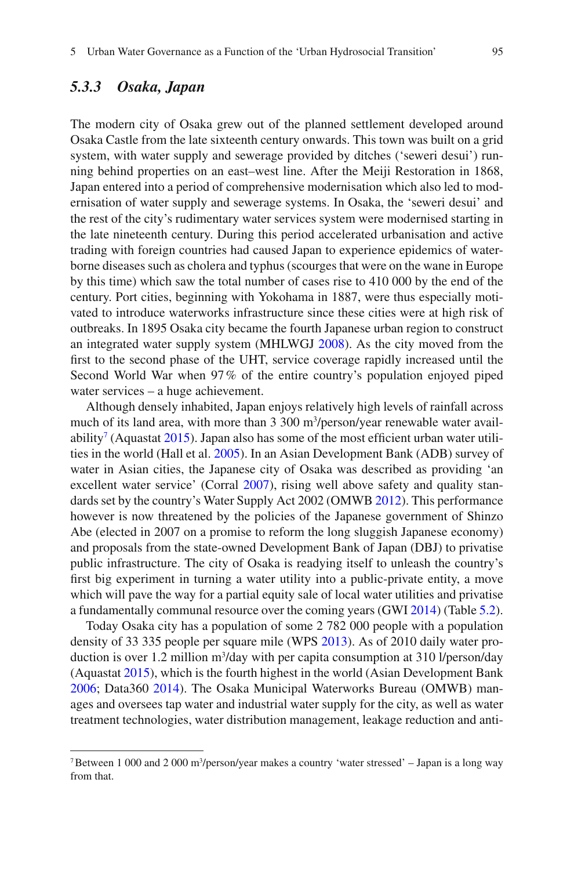#### *5.3.3 Osaka, Japan*

 The modern city of Osaka grew out of the planned settlement developed around Osaka Castle from the late sixteenth century onwards. This town was built on a grid system, with water supply and sewerage provided by ditches ('seweri desui') running behind properties on an east–west line. After the Meiji Restoration in 1868, Japan entered into a period of comprehensive modernisation which also led to modernisation of water supply and sewerage systems. In Osaka, the 'seweri desui' and the rest of the city's rudimentary water services system were modernised starting in the late nineteenth century. During this period accelerated urbanisation and active trading with foreign countries had caused Japan to experience epidemics of waterborne diseases such as cholera and typhus (scourges that were on the wane in Europe by this time) which saw the total number of cases rise to 410 000 by the end of the century. Port cities, beginning with Yokohama in 1887, were thus especially motivated to introduce waterworks infrastructure since these cities were at high risk of outbreaks. In 1895 Osaka city became the fourth Japanese urban region to construct an integrated water supply system (MHLWGJ 2008). As the city moved from the first to the second phase of the UHT, service coverage rapidly increased until the Second World War when 97 % of the entire country's population enjoyed piped water services – a huge achievement.

 Although densely inhabited, Japan enjoys relatively high levels of rainfall across much of its land area, with more than 3 300 m<sup>3</sup>/person/year renewable water availability<sup>7</sup> (Aquastat 2015). Japan also has some of the most efficient urban water utilities in the world (Hall et al. [2005 \)](#page-19-0). In an Asian Development Bank (ADB) survey of water in Asian cities, the Japanese city of Osaka was described as providing 'an excellent water service' (Corral [2007](#page-19-0)), rising well above safety and quality standards set by the country's Water Supply Act 2002 (OMWB [2012](#page-20-0) ). This performance however is now threatened by the policies of the Japanese government of Shinzo Abe (elected in 2007 on a promise to reform the long sluggish Japanese economy) and proposals from the state-owned Development Bank of Japan (DBJ) to privatise public infrastructure. The city of Osaka is readying itself to unleash the country's first big experiment in turning a water utility into a public-private entity, a move which will pave the way for a partial equity sale of local water utilities and privatise a fundamentally communal resource over the coming years (GWI [2014](#page-19-0) ) (Table [5.2 \)](#page-15-0).

 Today Osaka city has a population of some 2 782 000 people with a population density of 33 335 people per square mile (WPS [2013](#page-21-0) ). As of 2010 daily water production is over 1.2 million m<sup>3</sup>/day with per capita consumption at 310 l/person/day (Aquastat [2015 \)](#page-19-0), which is the fourth highest in the world (Asian Development Bank 2006; Data360 [2014](#page-19-0)). The Osaka Municipal Waterworks Bureau (OMWB) manages and oversees tap water and industrial water supply for the city, as well as water treatment technologies, water distribution management, leakage reduction and anti-

<sup>&</sup>lt;sup>7</sup> Between 1 000 and 2 000 m<sup>3</sup>/person/year makes a country 'water stressed' – Japan is a long way from that.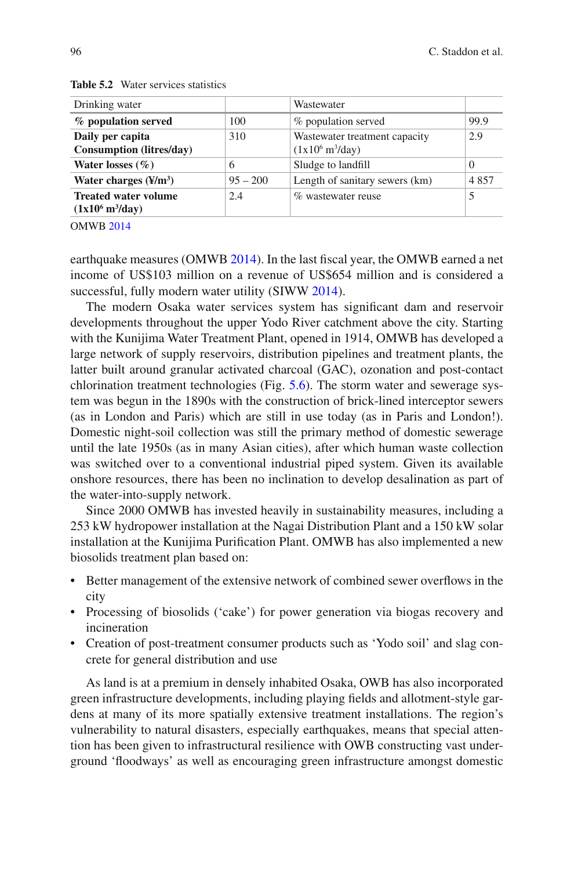| Drinking water                                                   |            | Wastewater                                                         |          |
|------------------------------------------------------------------|------------|--------------------------------------------------------------------|----------|
| % population served                                              | 100        | % population served                                                | 99.9     |
| Daily per capita<br><b>Consumption (litres/day)</b>              | 310        | Wastewater treatment capacity<br>$(1x10^6 \text{ m}^3/\text{day})$ | 2.9      |
| Water losses $(\% )$                                             | 6          | Sludge to landfill                                                 | $\theta$ |
| Water charges $(\frac{1}{2}$ /m <sup>3</sup> )                   | $95 - 200$ | Length of sanitary sewers (km)                                     | 4857     |
| <b>Treated water volume</b><br>$(1x10^6 \text{ m}^3/\text{day})$ | 2.4        | % wastewater reuse                                                 |          |

<span id="page-15-0"></span> **Table 5.2** Water services statistics

OMWB [2014](#page-20-0)

earthquake measures (OMWB  $2014$ ). In the last fiscal year, the OMWB earned a net income of US\$103 million on a revenue of US\$654 million and is considered a successful, fully modern water utility (SIWW [2014](#page-21-0)).

The modern Osaka water services system has significant dam and reservoir developments throughout the upper Yodo River catchment above the city. Starting with the Kunijima Water Treatment Plant, opened in 1914, OMWB has developed a large network of supply reservoirs, distribution pipelines and treatment plants, the latter built around granular activated charcoal (GAC), ozonation and post-contact chlorination treatment technologies (Fig. [5.6](#page-16-0) ). The storm water and sewerage system was begun in the 1890s with the construction of brick-lined interceptor sewers (as in London and Paris) which are still in use today (as in Paris and London!). Domestic night-soil collection was still the primary method of domestic sewerage until the late 1950s (as in many Asian cities), after which human waste collection was switched over to a conventional industrial piped system. Given its available onshore resources, there has been no inclination to develop desalination as part of the water-into-supply network.

 Since 2000 OMWB has invested heavily in sustainability measures, including a 253 kW hydropower installation at the Nagai Distribution Plant and a 150 kW solar installation at the Kunijima Purification Plant. OMWB has also implemented a new biosolids treatment plan based on:

- Better management of the extensive network of combined sewer overflows in the city
- Processing of biosolids ('cake') for power generation via biogas recovery and incineration
- Creation of post-treatment consumer products such as 'Yodo soil' and slag concrete for general distribution and use

 As land is at a premium in densely inhabited Osaka, OWB has also incorporated green infrastructure developments, including playing fields and allotment-style gardens at many of its more spatially extensive treatment installations. The region's vulnerability to natural disasters, especially earthquakes, means that special attention has been given to infrastructural resilience with OWB constructing vast underground 'fl oodways' as well as encouraging green infrastructure amongst domestic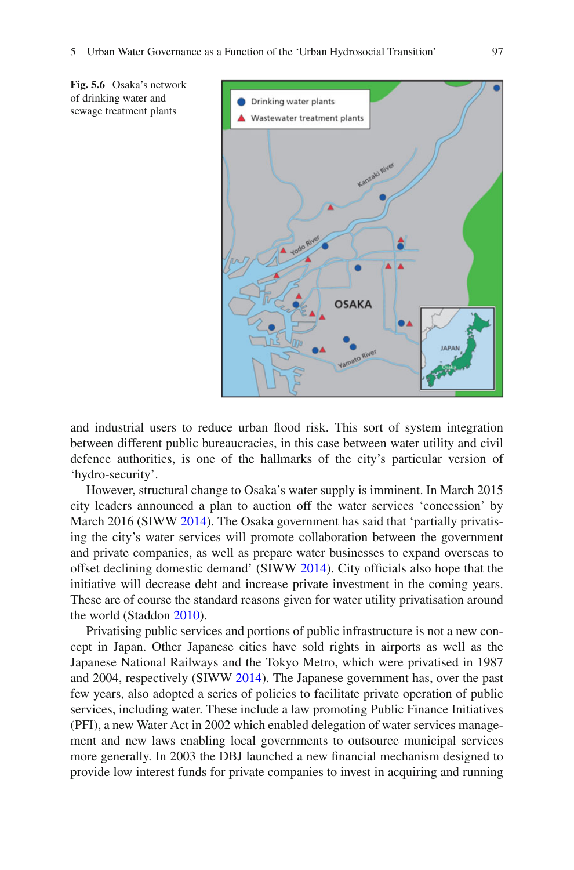

<span id="page-16-0"></span> **Fig. 5.6** Osaka's network of drinking water and sewage treatment plants

and industrial users to reduce urban flood risk. This sort of system integration between different public bureaucracies, in this case between water utility and civil defence authorities, is one of the hallmarks of the city's particular version of 'hydro-security'.

 However, structural change to Osaka's water supply is imminent. In March 2015 city leaders announced a plan to auction off the water services 'concession' by March 2016 (SIWW [2014](#page-21-0)). The Osaka government has said that 'partially privatising the city's water services will promote collaboration between the government and private companies, as well as prepare water businesses to expand overseas to offset declining domestic demand' (SIWW [2014](#page-21-0)). City officials also hope that the initiative will decrease debt and increase private investment in the coming years. These are of course the standard reasons given for water utility privatisation around the world (Staddon 2010).

 Privatising public services and portions of public infrastructure is not a new concept in Japan. Other Japanese cities have sold rights in airports as well as the Japanese National Railways and the Tokyo Metro, which were privatised in 1987 and 2004, respectively (SIWW 2014). The Japanese government has, over the past few years, also adopted a series of policies to facilitate private operation of public services, including water. These include a law promoting Public Finance Initiatives (PFI), a new Water Act in 2002 which enabled delegation of water services management and new laws enabling local governments to outsource municipal services more generally. In 2003 the DBJ launched a new financial mechanism designed to provide low interest funds for private companies to invest in acquiring and running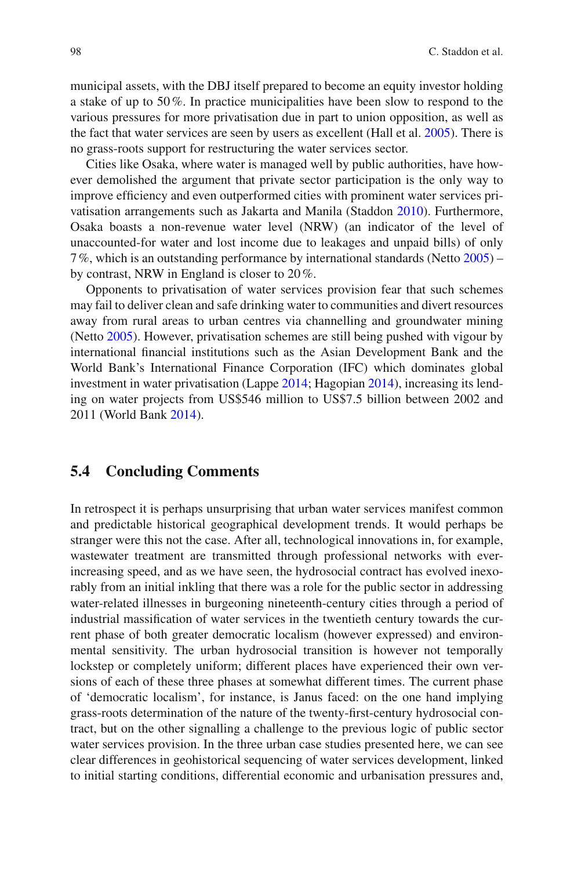municipal assets, with the DBJ itself prepared to become an equity investor holding a stake of up to 50 %. In practice municipalities have been slow to respond to the various pressures for more privatisation due in part to union opposition, as well as the fact that water services are seen by users as excellent (Hall et al. [2005](#page-19-0) ). There is no grass-roots support for restructuring the water services sector.

 Cities like Osaka, where water is managed well by public authorities, have however demolished the argument that private sector participation is the only way to improve efficiency and even outperformed cities with prominent water services pri-vatisation arrangements such as Jakarta and Manila (Staddon [2010](#page-21-0)). Furthermore, Osaka boasts a non-revenue water level (NRW) (an indicator of the level of unaccounted- for water and lost income due to leakages and unpaid bills) of only 7 %, which is an outstanding performance by international standards (Netto [2005 \)](#page-20-0) – by contrast, NRW in England is closer to 20 %.

 Opponents to privatisation of water services provision fear that such schemes may fail to deliver clean and safe drinking water to communities and divert resources away from rural areas to urban centres via channelling and groundwater mining (Netto 2005). However, privatisation schemes are still being pushed with vigour by international financial institutions such as the Asian Development Bank and the World Bank's International Finance Corporation (IFC) which dominates global investment in water privatisation (Lappe 2014; Hagopian 2014), increasing its lending on water projects from US\$546 million to US\$7.5 billion between 2002 and 2011 (World Bank 2014).

### **5.4 Concluding Comments**

 In retrospect it is perhaps unsurprising that urban water services manifest common and predictable historical geographical development trends. It would perhaps be stranger were this not the case. After all, technological innovations in, for example, wastewater treatment are transmitted through professional networks with everincreasing speed, and as we have seen, the hydrosocial contract has evolved inexorably from an initial inkling that there was a role for the public sector in addressing water-related illnesses in burgeoning nineteenth-century cities through a period of industrial massification of water services in the twentieth century towards the current phase of both greater democratic localism (however expressed) and environmental sensitivity. The urban hydrosocial transition is however not temporally lockstep or completely uniform; different places have experienced their own versions of each of these three phases at somewhat different times. The current phase of 'democratic localism', for instance, is Janus faced: on the one hand implying grass-roots determination of the nature of the twenty-first-century hydrosocial contract, but on the other signalling a challenge to the previous logic of public sector water services provision. In the three urban case studies presented here, we can see clear differences in geohistorical sequencing of water services development, linked to initial starting conditions, differential economic and urbanisation pressures and,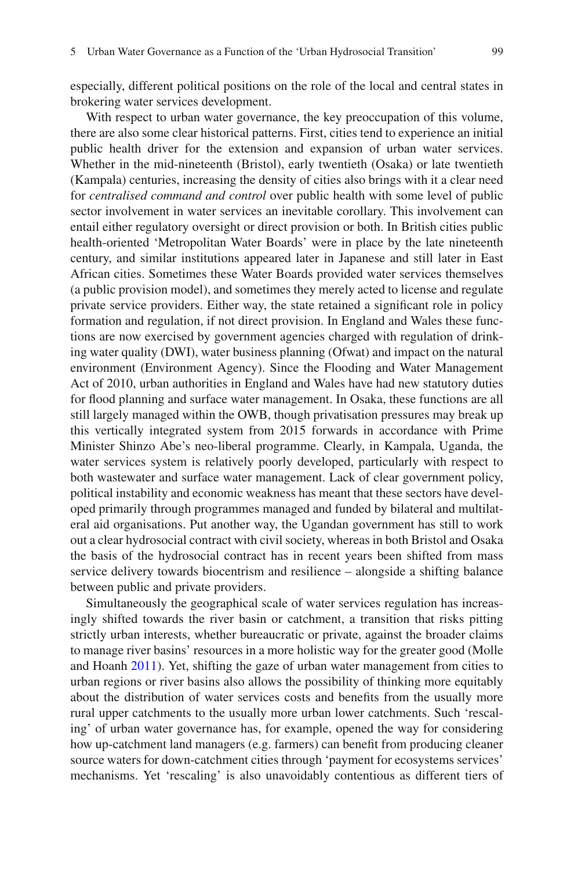especially, different political positions on the role of the local and central states in brokering water services development.

 With respect to urban water governance, the key preoccupation of this volume, there are also some clear historical patterns. First, cities tend to experience an initial public health driver for the extension and expansion of urban water services. Whether in the mid-nineteenth (Bristol), early twentieth (Osaka) or late twentieth (Kampala) centuries, increasing the density of cities also brings with it a clear need for *centralised command and control* over public health with some level of public sector involvement in water services an inevitable corollary. This involvement can entail either regulatory oversight or direct provision or both. In British cities public health-oriented 'Metropolitan Water Boards' were in place by the late nineteenth century, and similar institutions appeared later in Japanese and still later in East African cities. Sometimes these Water Boards provided water services themselves (a public provision model), and sometimes they merely acted to license and regulate private service providers. Either way, the state retained a significant role in policy formation and regulation, if not direct provision. In England and Wales these functions are now exercised by government agencies charged with regulation of drinking water quality (DWI), water business planning (Ofwat) and impact on the natural environment (Environment Agency). Since the Flooding and Water Management Act of 2010, urban authorities in England and Wales have had new statutory duties for flood planning and surface water management. In Osaka, these functions are all still largely managed within the OWB, though privatisation pressures may break up this vertically integrated system from 2015 forwards in accordance with Prime Minister Shinzo Abe's neo-liberal programme. Clearly, in Kampala, Uganda, the water services system is relatively poorly developed, particularly with respect to both wastewater and surface water management. Lack of clear government policy, political instability and economic weakness has meant that these sectors have developed primarily through programmes managed and funded by bilateral and multilateral aid organisations. Put another way, the Ugandan government has still to work out a clear hydrosocial contract with civil society, whereas in both Bristol and Osaka the basis of the hydrosocial contract has in recent years been shifted from mass service delivery towards biocentrism and resilience – alongside a shifting balance between public and private providers.

 Simultaneously the geographical scale of water services regulation has increasingly shifted towards the river basin or catchment, a transition that risks pitting strictly urban interests, whether bureaucratic or private, against the broader claims to manage river basins' resources in a more holistic way for the greater good (Molle and Hoanh [2011](#page-20-0) ). Yet, shifting the gaze of urban water management from cities to urban regions or river basins also allows the possibility of thinking more equitably about the distribution of water services costs and benefits from the usually more rural upper catchments to the usually more urban lower catchments. Such 'rescaling' of urban water governance has, for example, opened the way for considering how up-catchment land managers (e.g. farmers) can benefit from producing cleaner source waters for down-catchment cities through 'payment for ecosystems services' mechanisms. Yet 'rescaling' is also unavoidably contentious as different tiers of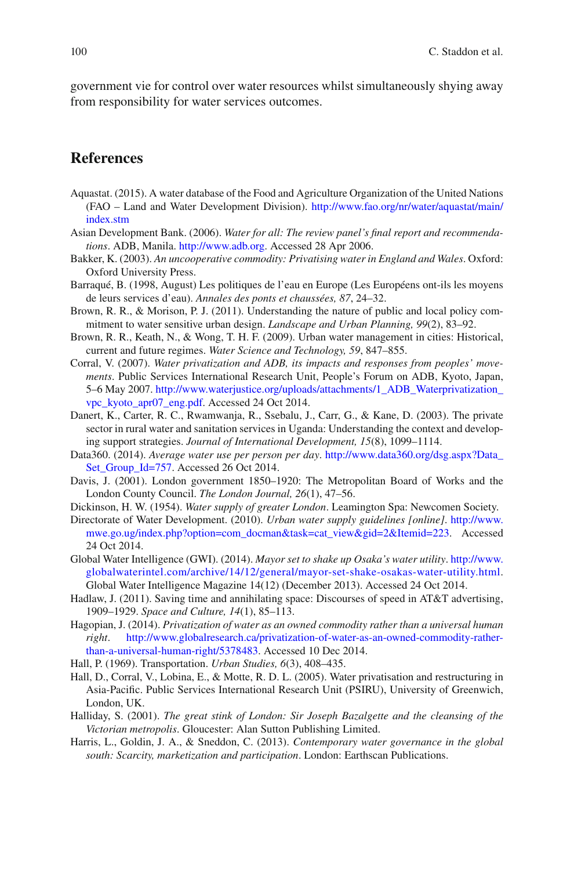<span id="page-19-0"></span>government vie for control over water resources whilst simultaneously shying away from responsibility for water services outcomes.

#### **References**

- Aquastat. (2015). A water database of the Food and Agriculture Organization of the United Nations (FAO – Land and Water Development Division). [http://www.fao.org/nr/water/aquastat/main/](http://www.fao.org/nr/water/aquastat/main/index.stm) [index.stm](http://www.fao.org/nr/water/aquastat/main/index.stm)
- Asian Development Bank. (2006). *Water for all: The review panel's final report and recommendations* . ADB, Manila. [http://www.adb.org.](http://www.adb.org/) Accessed 28 Apr 2006.
- Bakker, K. (2003). *An uncooperative commodity: Privatising water in England and Wales* . Oxford: Oxford University Press.
- Barraqué, B. (1998, August) Les politiques de l'eau en Europe (Les Européens ont-ils les moyens de leurs services d'eau). *Annales des ponts et chaussées*, 87, 24–32.
- Brown, R. R., & Morison, P. J. (2011). Understanding the nature of public and local policy commitment to water sensitive urban design. *Landscape and Urban Planning*, 99(2), 83–92.
- Brown, R. R., Keath, N., & Wong, T. H. F. (2009). Urban water management in cities: Historical, current and future regimes. *Water Science and Technology, 59* , 847–855.
- Corral, V. (2007). *Water privatization and ADB, its impacts and responses from peoples' movements* . Public Services International Research Unit, People's Forum on ADB, Kyoto, Japan, 5–6 May 2007. [http://www.waterjustice.org/uploads/attachments/1\\_ADB\\_Waterprivatization\\_](http://www.waterjustice.org/uploads/attachments/1_ADB_Waterprivatization_vpc_kyoto_apr07_eng.pdf) [vpc\\_kyoto\\_apr07\\_eng.pdf](http://www.waterjustice.org/uploads/attachments/1_ADB_Waterprivatization_vpc_kyoto_apr07_eng.pdf). Accessed 24 Oct 2014.
- Danert, K., Carter, R. C., Rwamwanja, R., Ssebalu, J., Carr, G., & Kane, D. (2003). The private sector in rural water and sanitation services in Uganda: Understanding the context and developing support strategies. *Journal of International Development, 15* (8), 1099–1114.
- Data360. (2014). *Average water use per person per day* . [http://www.data360.org/dsg.aspx?Data\\_](http://www.data360.org/dsg.aspx?Data_Set_Group_Id=757) [Set\\_Group\\_Id=757.](http://www.data360.org/dsg.aspx?Data_Set_Group_Id=757) Accessed 26 Oct 2014.
- Davis, J. (2001). London government 1850–1920: The Metropolitan Board of Works and the London County Council. *The London Journal*, 26(1), 47-56.
- Dickinson, H. W. (1954). *Water supply of greater London* . Leamington Spa: Newcomen Society.
- Directorate of Water Development. (2010). *Urban water supply guidelines [online]* . [http://www.](http://www.mwe.go.ug/index.php?option=com_docman&task=cat_view&gid=2&Itemid=223) [mwe.go.ug/index.php?option=com\\_docman&task=cat\\_view&gid=2&Itemid=223](http://www.mwe.go.ug/index.php?option=com_docman&task=cat_view&gid=2&Itemid=223). Accessed 24 Oct 2014.
- Global Water Intelligence (GWI). (2014). *Mayor set to shake up Osaka's water utility* . [http://www.](http://www.globalwaterintel.com/archive/14/12/general/mayor-set-shake-osakas-water-utility.html) [globalwaterintel.com/archive/14/12/general/mayor-set-shake-osakas-water-utility.html](http://www.globalwaterintel.com/archive/14/12/general/mayor-set-shake-osakas-water-utility.html). Global Water Intelligence Magazine 14(12) (December 2013). Accessed 24 Oct 2014.
- Hadlaw, J. (2011). Saving time and annihilating space: Discourses of speed in AT&T advertising, 1909–1929. *Space and Culture, 14* (1), 85–113.
- Hagopian, J. (2014). *Privatization of water as an owned commodity rather than a universal human right* . [http://www.globalresearch.ca/privatization-of-water-as-an-owned-commodity-rather](http://www.globalresearch.ca/privatization-of-water-as-an-owned-commodity-rather-than-a-universal-human-right/5378483)[than-a-universal-human-right/5378483.](http://www.globalresearch.ca/privatization-of-water-as-an-owned-commodity-rather-than-a-universal-human-right/5378483) Accessed 10 Dec 2014.
- Hall, P. (1969). Transportation. *Urban Studies, 6* (3), 408–435.
- Hall, D., Corral, V., Lobina, E., & Motte, R. D. L. (2005). Water privatisation and restructuring in Asia-Pacific. Public Services International Research Unit (PSIRU), University of Greenwich, London, UK.
- Halliday, S. (2001). *The great stink of London: Sir Joseph Bazalgette and the cleansing of the Victorian metropolis* . Gloucester: Alan Sutton Publishing Limited.
- Harris, L., Goldin, J. A., & Sneddon, C. (2013). *Contemporary water governance in the global south: Scarcity, marketization and participation* . London: Earthscan Publications.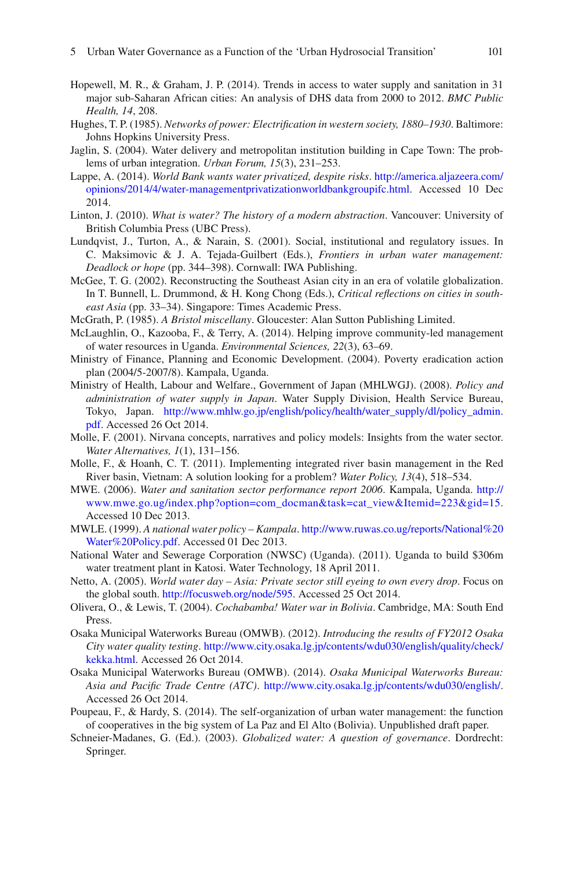- <span id="page-20-0"></span> Hopewell, M. R., & Graham, J. P. (2014). Trends in access to water supply and sanitation in 31 major sub-Saharan African cities: An analysis of DHS data from 2000 to 2012. *BMC Public Health, 14* , 208.
- Hughes, T. P. (1985). *Networks of power: Electrification in western society, 1880–1930*. Baltimore: Johns Hopkins University Press.
- Jaglin, S. (2004). Water delivery and metropolitan institution building in Cape Town: The problems of urban integration. *Urban Forum, 15* (3), 231–253.
- Lappe, A. (2014). *World Bank wants water privatized, despite risks* . [http://america.aljazeera.com/](http://america.aljazeera.com/opinions/2014/4/water-managementprivatizationworldbankgroupifc.html) [opinions/2014/4/water-managementprivatizationworldbankgroupifc.html.](http://america.aljazeera.com/opinions/2014/4/water-managementprivatizationworldbankgroupifc.html) Accessed 10 Dec 2014.
- Linton, J. (2010). *What is water? The history of a modern abstraction* . Vancouver: University of British Columbia Press (UBC Press).
- Lundqvist, J., Turton, A., & Narain, S. (2001). Social, institutional and regulatory issues. In C. Maksimovic & J. A. Tejada-Guilbert (Eds.), *Frontiers in urban water management: Deadlock or hope* (pp. 344–398). Cornwall: IWA Publishing.
- McGee, T. G. (2002). Reconstructing the Southeast Asian city in an era of volatile globalization. In T. Bunnell, L. Drummond, & H. Kong Chong (Eds.), *Critical reflections on cities in southeast Asia* (pp. 33–34). Singapore: Times Academic Press.
- McGrath, P. (1985). *A Bristol miscellany* . Gloucester: Alan Sutton Publishing Limited.
- McLaughlin, O., Kazooba, F., & Terry, A. (2014). Helping improve community-led management of water resources in Uganda. *Environmental Sciences, 22* (3), 63–69.
- Ministry of Finance, Planning and Economic Development. (2004). Poverty eradication action plan (2004/5-2007/8). Kampala, Uganda.
- Ministry of Health, Labour and Welfare., Government of Japan (MHLWGJ). (2008). *Policy and administration of water supply in Japan* . Water Supply Division, Health Service Bureau, Tokyo, Japan. [http://www.mhlw.go.jp/english/policy/health/water\\_supply/dl/policy\\_admin.](http://www.mhlw.go.jp/english/policy/health/water_supply/dl/policy_admin.pdf) [pdf](http://www.mhlw.go.jp/english/policy/health/water_supply/dl/policy_admin.pdf). Accessed 26 Oct 2014.
- Molle, F. (2001). Nirvana concepts, narratives and policy models: Insights from the water sector. *Water Alternatives, 1(1), 131-156.*
- Molle, F., & Hoanh, C. T. (2011). Implementing integrated river basin management in the Red River basin, Vietnam: A solution looking for a problem? *Water Policy, 13* (4), 518–534.
- MWE. (2006). *Water and sanitation sector performance report 2006* . Kampala, Uganda. [http://](http://www.mwe.go.ug/index.php?option=com_docman&task=cat_view&Itemid=223&gid=15) [www.mwe.go.ug/index.php?option=com\\_docman&task=cat\\_view&Itemid=223&gid=15](http://www.mwe.go.ug/index.php?option=com_docman&task=cat_view&Itemid=223&gid=15). Accessed 10 Dec 2013.
- MWLE. (1999). *A national water policy Kampala* . [http://www.ruwas.co.ug/reports/National%20](http://www.ruwas.co.ug/reports/National Water Policy.pdf) [Water%20Policy.pdf](http://www.ruwas.co.ug/reports/National Water Policy.pdf). Accessed 01 Dec 2013.
- National Water and Sewerage Corporation (NWSC) (Uganda). (2011). Uganda to build \$306m water treatment plant in Katosi. Water Technology, 18 April 2011.
- Netto, A. (2005). *World water day Asia: Private sector still eyeing to own every drop*. Focus on the global south.<http://focusweb.org/node/595>. Accessed 25 Oct 2014.
- Olivera, O., & Lewis, T. (2004). *Cochabamba! Water war in Bolivia* . Cambridge, MA: South End Press.
- Osaka Municipal Waterworks Bureau (OMWB). (2012). *Introducing the results of FY2012 Osaka City water quality testing* . [http://www.city.osaka.lg.jp/contents/wdu030/english/quality/check/](http://www.city.osaka.lg.jp/contents/wdu030/english/quality/check/kekka.html) [kekka.html.](http://www.city.osaka.lg.jp/contents/wdu030/english/quality/check/kekka.html) Accessed 26 Oct 2014.
- Osaka Municipal Waterworks Bureau (OMWB). (2014). *Osaka Municipal Waterworks Bureau: Asia and Pacifi c Trade Centre (ATC)* . <http://www.city.osaka.lg.jp/contents/wdu030/english/>. Accessed 26 Oct 2014.
- Poupeau, F., & Hardy, S. (2014). The self-organization of urban water management: the function of cooperatives in the big system of La Paz and El Alto (Bolivia). Unpublished draft paper.
- Schneier-Madanes, G. (Ed.). (2003). *Globalized water: A question of governance* . Dordrecht: Springer.